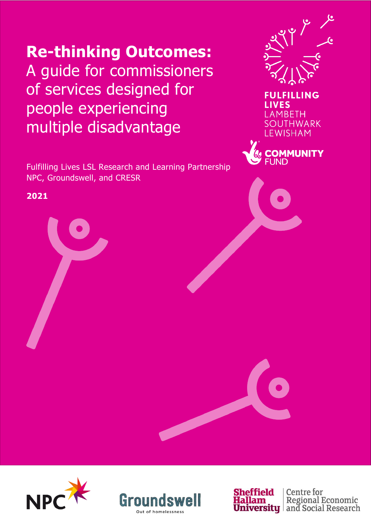**Re-thinking Outcomes:** A guide for commissioners of services designed for people experiencing multiple disadvantage

Fulfilling Lives LSL Research and Learning Partnership NPC, Groundswell, and CRESR

# **2021**







Centre for **Hallam** Regional Economic<br>**University** and Social Research



**FULFILLING LIVES LAMBETH SOUTHWARK LEWISHAM** 



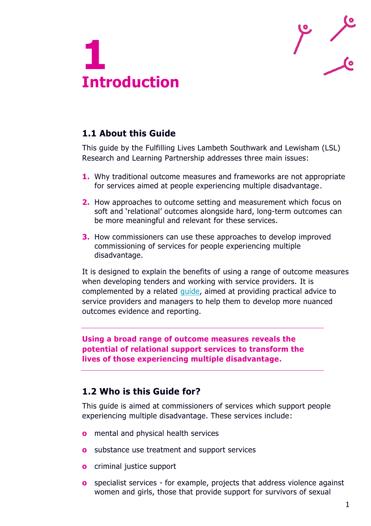



# **1.1 About this Guide**

This guide by the Fulfilling Lives Lambeth Southwark and Lewisham (LSL) Research and Learning Partnership addresses three main issues:

- **1.** Why traditional outcome measures and frameworks are not appropriate for services aimed at people experiencing multiple disadvantage.
- **2.** How approaches to outcome setting and measurement which focus on soft and 'relational' outcomes alongside hard, long-term outcomes can be more meaningful and relevant for these services.
- **3.** How commissioners can use these approaches to develop improved commissioning of services for people experiencing multiple disadvantage.

It is designed to explain the benefits of using a range of outcome measures when developing tenders and working with service providers. It is complemented by a related [guide,](https://fulfillingliveslsl.london/re-thinking-outcomes-guide-for-services/) aimed at providing practical advice to service providers and managers to help them to develop more nuanced outcomes evidence and reporting.

## **Using a broad range of outcome measures reveals the potential of relational support services to transform the lives of those experiencing multiple disadvantage.**

# **1.2 Who is this Guide for?**

This guide is aimed at commissioners of services which support people experiencing multiple disadvantage. These services include:

- **o** mental and physical health services
- **o** substance use treatment and support services
- **o** criminal justice support
- **o** specialist services for example, projects that address violence against women and girls, those that provide support for survivors of sexual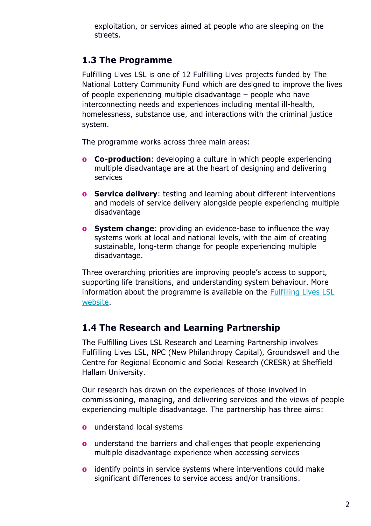exploitation, or services aimed at people who are sleeping on the streets.

# **1.3 The Programme**

Fulfilling Lives LSL is one of 12 Fulfilling Lives projects funded by The National Lottery Community Fund which are designed to improve the lives of people experiencing multiple disadvantage – people who have interconnecting needs and experiences including mental ill-health, homelessness, substance use, and interactions with the criminal justice system.

The programme works across three main areas:

- **o Co-production**: developing a culture in which people experiencing multiple disadvantage are at the heart of designing and delivering services
- **o Service delivery**: testing and learning about different interventions and models of service delivery alongside people experiencing multiple disadvantage
- **o System change**: providing an evidence-base to influence the way systems work at local and national levels, with the aim of creating sustainable, long-term change for people experiencing multiple disadvantage.

Three overarching priorities are improving people's access to support, supporting life transitions, and understanding system behaviour. More information about the programme is available on the [Fulfilling Lives LSL](https://fulfillingliveslsl.london/)  [website.](https://fulfillingliveslsl.london/)

# **1.4 The Research and Learning Partnership**

The Fulfilling Lives LSL Research and Learning Partnership involves Fulfilling Lives LSL, NPC (New Philanthropy Capital), Groundswell and the Centre for Regional Economic and Social Research (CRESR) at Sheffield Hallam University.

Our research has drawn on the experiences of those involved in commissioning, managing, and delivering services and the views of people experiencing multiple disadvantage. The partnership has three aims:

- **o** understand local systems
- **o** understand the barriers and challenges that people experiencing multiple disadvantage experience when accessing services
- **o** identify points in service systems where interventions could make significant differences to service access and/or transitions.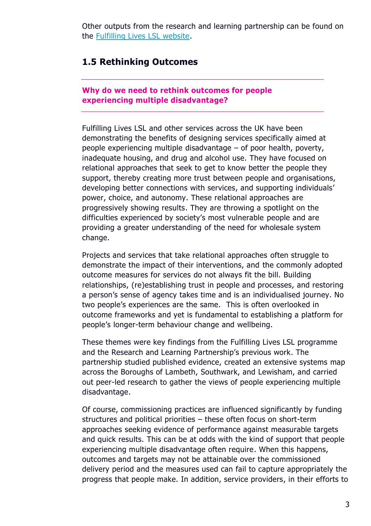Other outputs from the research and learning partnership can be found on the [Fulfilling Lives LSL website.](https://fulfillingliveslsl.london/research-and-resources/)

# **1.5 Rethinking Outcomes**

**Why do we need to rethink outcomes for people experiencing multiple disadvantage?**

Fulfilling Lives LSL and other services across the UK have been demonstrating the benefits of designing services specifically aimed at people experiencing multiple disadvantage – of poor health, poverty, inadequate housing, and drug and alcohol use. They have focused on relational approaches that seek to get to know better the people they support, thereby creating more trust between people and organisations, developing better connections with services, and supporting individuals' power, choice, and autonomy. These relational approaches are progressively showing results. They are throwing a spotlight on the difficulties experienced by society's most vulnerable people and are providing a greater understanding of the need for wholesale system change.

Projects and services that take relational approaches often struggle to demonstrate the impact of their interventions, and the commonly adopted outcome measures for services do not always fit the bill. Building relationships, (re)establishing trust in people and processes, and restoring a person's sense of agency takes time and is an individualised journey. No two people's experiences are the same. This is often overlooked in outcome frameworks and yet is fundamental to establishing a platform for people's longer-term behaviour change and wellbeing.

These themes were key findings from the Fulfilling Lives LSL programme and the Research and Learning Partnership's previous work. The partnership studied published evidence, created an extensive systems map across the Boroughs of Lambeth, Southwark, and Lewisham, and carried out peer-led research to gather the views of people experiencing multiple disadvantage.

Of course, commissioning practices are influenced significantly by funding structures and political priorities – these often focus on short-term approaches seeking evidence of performance against measurable targets and quick results. This can be at odds with the kind of support that people experiencing multiple disadvantage often require. When this happens, outcomes and targets may not be attainable over the commissioned delivery period and the measures used can fail to capture appropriately the progress that people make. In addition, service providers, in their efforts to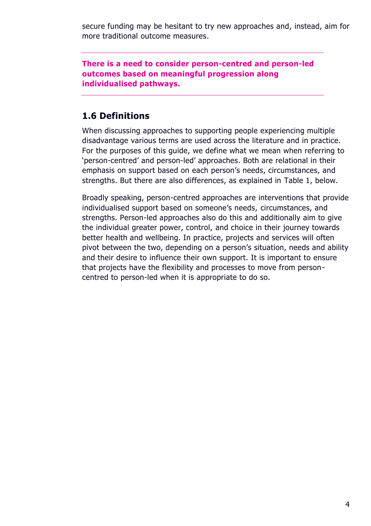secure funding may be hesitant to try new approaches and, instead, aim for more traditional outcome measures.

**There is a need to consider person-centred and person-led outcomes based on meaningful progression along individualised pathways.**

# **1.6 Definitions**

When discussing approaches to supporting people experiencing multiple disadvantage various terms are used across the literature and in practice. For the purposes of this guide, we define what we mean when referring to 'person-centred' and person-led' approaches. Both are relational in their emphasis on support based on each person's needs, circumstances, and strengths. But there are also differences, as explained in Table 1, below.

Broadly speaking, person-centred approaches are interventions that provide individualised support based on someone's needs, circumstances, and strengths. Person-led approaches also do this and additionally aim to give the individual greater power, control, and choice in their journey towards better health and wellbeing. In practice, projects and services will often pivot between the two, depending on a person's situation, needs and ability and their desire to influence their own support. It is important to ensure that projects have the flexibility and processes to move from personcentred to person-led when it is appropriate to do so.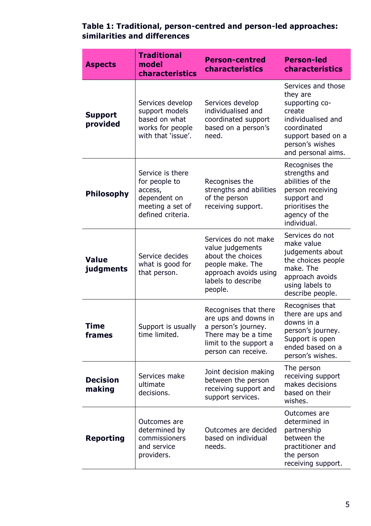| <b>Aspects</b>             | <b>Traditional</b><br>model<br>characteristics                                                        | <b>Person-centred</b><br><b>characteristics</b>                                                                                              | <b>Person-led</b><br>characteristics                                                                                                                           |
|----------------------------|-------------------------------------------------------------------------------------------------------|----------------------------------------------------------------------------------------------------------------------------------------------|----------------------------------------------------------------------------------------------------------------------------------------------------------------|
| <b>Support</b><br>provided | Services develop<br>support models<br>based on what<br>works for people<br>with that 'issue'.         | Services develop<br>individualised and<br>coordinated support<br>based on a person's<br>need.                                                | Services and those<br>they are<br>supporting co-<br>create<br>individualised and<br>coordinated<br>support based on a<br>person's wishes<br>and personal aims. |
| <b>Philosophy</b>          | Service is there<br>for people to<br>access,<br>dependent on<br>meeting a set of<br>defined criteria. | Recognises the<br>strengths and abilities<br>of the person<br>receiving support.                                                             | Recognises the<br>strengths and<br>abilities of the<br>person receiving<br>support and<br>prioritises the<br>agency of the<br>individual.                      |
| <b>Value</b><br>judgments  | Service decides<br>what is good for<br>that person.                                                   | Services do not make<br>value judgements<br>about the choices<br>people make. The<br>approach avoids using<br>labels to describe<br>people.  | Services do not<br>make value<br>judgements about<br>the choices people<br>make. The<br>approach avoids<br>using labels to<br>describe people.                 |
| Time<br>frames             | Support is usually<br>time limited.                                                                   | Recognises that there<br>are ups and downs in<br>a person's journey.<br>There may be a time<br>limit to the support a<br>person can receive. | Recognises that<br>there are ups and<br>downs in a<br>person's journey.<br>Support is open<br>ended based on a<br>person's wishes.                             |
| <b>Decision</b><br>making  | Services make<br>ultimate<br>decisions.                                                               | Joint decision making<br>between the person<br>receiving support and<br>support services.                                                    | The person<br>receiving support<br>makes decisions<br>based on their<br>wishes.                                                                                |
| <b>Reporting</b>           | Outcomes are<br>determined by<br>commissioners<br>and service<br>providers.                           | Outcomes are decided<br>based on individual<br>needs.                                                                                        | Outcomes are<br>determined in<br>partnership<br>between the<br>practitioner and<br>the person<br>receiving support.                                            |

**Table 1: Traditional, person-centred and person-led approaches: similarities and differences**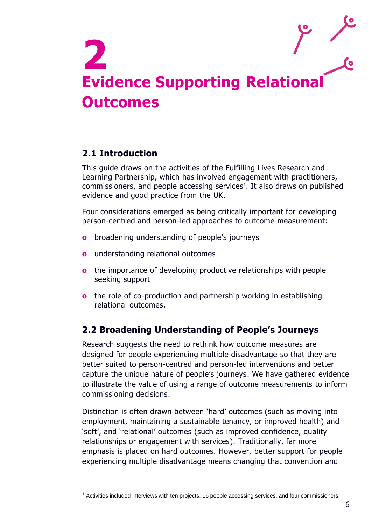# **2** علم علي<br>**2**<br>Evidence Supporting Relational **Outcomes**

# **2.1 Introduction**

This guide draws on the activities of the Fulfilling Lives Research and Learning Partnership, which has involved engagement with practitioners, commissioners, and people accessing services<sup>1</sup>. It also draws on published evidence and good practice from the UK.

Four considerations emerged as being critically important for developing person-centred and person-led approaches to outcome measurement:

- **o** broadening understanding of people's journeys
- **o** understanding relational outcomes
- **o** the importance of developing productive relationships with people seeking support
- **o** the role of co-production and partnership working in establishing relational outcomes.

# **2.2 Broadening Understanding of People's Journeys**

Research suggests the need to rethink how outcome measures are designed for people experiencing multiple disadvantage so that they are better suited to person-centred and person-led interventions and better capture the unique nature of people's journeys. We have gathered evidence to illustrate the value of using a range of outcome measurements to inform commissioning decisions.

Distinction is often drawn between 'hard' outcomes (such as moving into employment, maintaining a sustainable tenancy, or improved health) and 'soft', and 'relational' outcomes (such as improved confidence, quality relationships or engagement with services). Traditionally, far more emphasis is placed on hard outcomes. However, better support for people experiencing multiple disadvantage means changing that convention and

 $<sup>1</sup>$  Activities included interviews with ten projects, 16 people accessing services, and four commissioners.</sup>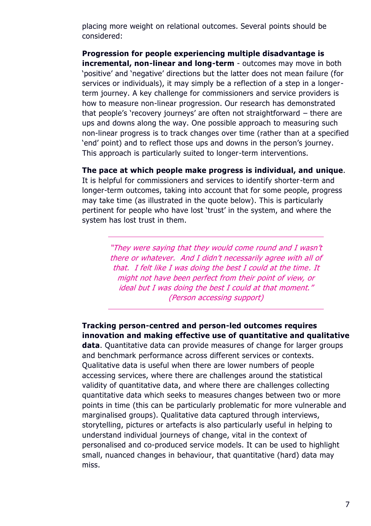placing more weight on relational outcomes. Several points should be considered:

**Progression for people experiencing multiple disadvantage is incremental, non-linear and long-term** - outcomes may move in both 'positive' and 'negative' directions but the latter does not mean failure (for services or individuals), it may simply be a reflection of a step in a longerterm journey. A key challenge for commissioners and service providers is how to measure non-linear progression. Our research has demonstrated that people's 'recovery journeys' are often not straightforward – there are ups and downs along the way. One possible approach to measuring such non-linear progress is to track changes over time (rather than at a specified 'end' point) and to reflect those ups and downs in the person's journey. This approach is particularly suited to longer-term interventions.

**The pace at which people make progress is individual, and unique**. It is helpful for commissioners and services to identify shorter-term and longer-term outcomes, taking into account that for some people, progress may take time (as illustrated in the quote below). This is particularly pertinent for people who have lost 'trust' in the system, and where the system has lost trust in them.

> "They were saying that they would come round and I wasn't there or whatever. And I didn't necessarily agree with all of that. I felt like I was doing the best I could at the time. It might not have been perfect from their point of view, or ideal but I was doing the best I could at that moment." (Person accessing support)

## **Tracking person-centred and person-led outcomes requires innovation and making effective use of quantitative and qualitative**

**data**. Quantitative data can provide measures of change for larger groups and benchmark performance across different services or contexts. Qualitative data is useful when there are lower numbers of people accessing services, where there are challenges around the statistical validity of quantitative data, and where there are challenges collecting quantitative data which seeks to measures changes between two or more points in time (this can be particularly problematic for more vulnerable and marginalised groups). Qualitative data captured through interviews, storytelling, pictures or artefacts is also particularly useful in helping to understand individual journeys of change, vital in the context of personalised and co-produced service models. It can be used to highlight small, nuanced changes in behaviour, that quantitative (hard) data may miss.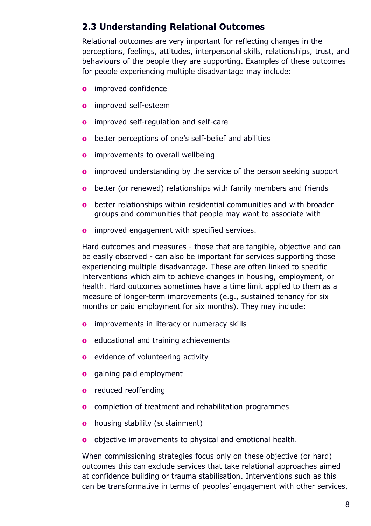# **2.3 Understanding Relational Outcomes**

Relational outcomes are very important for reflecting changes in the perceptions, feelings, attitudes, interpersonal skills, relationships, trust, and behaviours of the people they are supporting. Examples of these outcomes for people experiencing multiple disadvantage may include:

- **o** improved confidence
- **o** improved self-esteem
- **o** improved self-regulation and self-care
- **o** better perceptions of one's self-belief and abilities
- **o** improvements to overall wellbeing
- **o** improved understanding by the service of the person seeking support
- **o** better (or renewed) relationships with family members and friends
- **o** better relationships within residential communities and with broader groups and communities that people may want to associate with
- **o** improved engagement with specified services.

Hard outcomes and measures - those that are tangible, objective and can be easily observed - can also be important for services supporting those experiencing multiple disadvantage. These are often linked to specific interventions which aim to achieve changes in housing, employment, or health. Hard outcomes sometimes have a time limit applied to them as a measure of longer-term improvements (e.g., sustained tenancy for six months or paid employment for six months). They may include:

- **o** improvements in literacy or numeracy skills
- **o** educational and training achievements
- **o** evidence of volunteering activity
- **o** gaining paid employment
- **o** reduced reoffending
- **o** completion of treatment and rehabilitation programmes
- **o** housing stability (sustainment)
- **o** objective improvements to physical and emotional health.

When commissioning strategies focus only on these objective (or hard) outcomes this can exclude services that take relational approaches aimed at confidence building or trauma stabilisation. Interventions such as this can be transformative in terms of peoples' engagement with other services,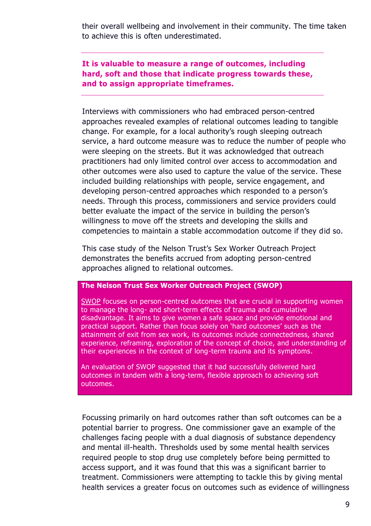their overall wellbeing and involvement in their community. The time taken to achieve this is often underestimated.

**It is valuable to measure a range of outcomes, including hard, soft and those that indicate progress towards these, and to assign appropriate timeframes.**

Interviews with commissioners who had embraced person-centred approaches revealed examples of relational outcomes leading to tangible change. For example, for a local authority's rough sleeping outreach service, a hard outcome measure was to reduce the number of people who were sleeping on the streets. But it was acknowledged that outreach practitioners had only limited control over access to accommodation and other outcomes were also used to capture the value of the service. These included building relationships with people, service engagement, and developing person-centred approaches which responded to a person's needs. Through this process, commissioners and service providers could better evaluate the impact of the service in building the person's willingness to move off the streets and developing the skills and competencies to maintain a stable accommodation outcome if they did so.

This case study of the Nelson Trust's Sex Worker Outreach Project demonstrates the benefits accrued from adopting person-centred approaches aligned to relational outcomes.

#### **The Nelson Trust Sex Worker Outreach Project (SWOP)**

[SWOP](https://nelsontrust.com/how-we-help/womens-community-services/sex-worker-outreach-project/) focuses on person-centred outcomes that are crucial in supporting women to manage the long- and short-term effects of trauma and cumulative disadvantage. It aims to give women a safe space and provide emotional and practical support. Rather than focus solely on 'hard outcomes' such as the attainment of exit from sex work, its outcomes include connectedness, shared experience, reframing, exploration of the concept of choice, and understanding of their experiences in the context of long-term trauma and its symptoms.

An evaluation of SWOP suggested that it had successfully delivered hard outcomes in tandem with a long-term, flexible approach to achieving soft outcomes.

Focussing primarily on hard outcomes rather than soft outcomes can be a potential barrier to progress. One commissioner gave an example of the challenges facing people with a dual diagnosis of substance dependency and mental ill-health. Thresholds used by some mental health services required people to stop drug use completely before being permitted to access support, and it was found that this was a significant barrier to treatment. Commissioners were attempting to tackle this by giving mental health services a greater focus on outcomes such as evidence of willingness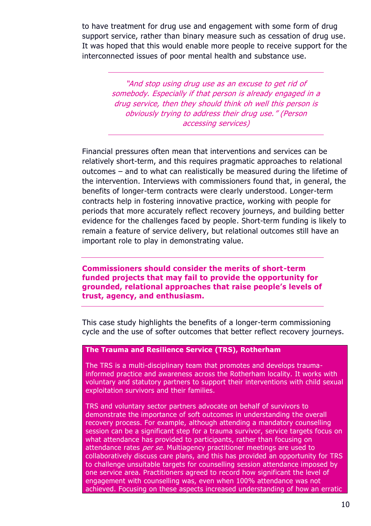to have treatment for drug use and engagement with some form of drug support service, rather than binary measure such as cessation of drug use. It was hoped that this would enable more people to receive support for the interconnected issues of poor mental health and substance use.

> "And stop using drug use as an excuse to get rid of somebody. Especially if that person is already engaged in a drug service, then they should think oh well this person is obviously trying to address their drug use." (Person accessing services)

Financial pressures often mean that interventions and services can be relatively short-term, and this requires pragmatic approaches to relational outcomes – and to what can realistically be measured during the lifetime of the intervention. Interviews with commissioners found that, in general, the benefits of longer-term contracts were clearly understood. Longer-term contracts help in fostering innovative practice, working with people for periods that more accurately reflect recovery journeys, and building better evidence for the challenges faced by people. Short-term funding is likely to remain a feature of service delivery, but relational outcomes still have an important role to play in demonstrating value.

**Commissioners should consider the merits of short-term funded projects that may fail to provide the opportunity for grounded, relational approaches that raise people's levels of trust, agency, and enthusiasm.**

This case study highlights the benefits of a longer-term commissioning cycle and the use of softer outcomes that better reflect recovery journeys.

## **The Trauma and Resilience Service (TRS), Rotherham**

The TRS is a multi-disciplinary team that promotes and develops traumainformed practice and awareness across the Rotherham locality. It works with voluntary and statutory partners to support their interventions with child sexual exploitation survivors and their families.

TRS and voluntary sector partners advocate on behalf of survivors to demonstrate the importance of soft outcomes in understanding the overall recovery process. For example, although attending a mandatory counselling session can be a significant step for a trauma survivor, service targets focus on what attendance has provided to participants, rather than focusing on attendance rates per se. Multiagency practitioner meetings are used to collaboratively discuss care plans, and this has provided an opportunity for TRS to challenge unsuitable targets for counselling session attendance imposed by one service area. Practitioners agreed to record how significant the level of engagement with counselling was, even when 100% attendance was not achieved. Focusing on these aspects increased understanding of how an erratic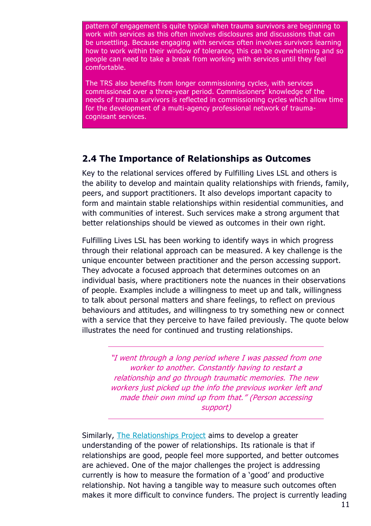pattern of engagement is quite typical when trauma survivors are beginning to work with services as this often involves disclosures and discussions that can be unsettling. Because engaging with services often involves survivors learning how to work within their window of tolerance, this can be overwhelming and so people can need to take a break from working with services until they feel comfortable.

The TRS also benefits from longer commissioning cycles, with services commissioned over a three-year period. Commissioners' knowledge of the needs of trauma survivors is reflected in commissioning cycles which allow time for the development of a multi-agency professional network of traumacognisant services.

# **2.4 The Importance of Relationships as Outcomes**

Key to the relational services offered by Fulfilling Lives LSL and others is the ability to develop and maintain quality relationships with friends, family, peers, and support practitioners. It also develops important capacity to form and maintain stable relationships within residential communities, and with communities of interest. Such services make a strong argument that better relationships should be viewed as outcomes in their own right.

Fulfilling Lives LSL has been working to identify ways in which progress through their relational approach can be measured. A key challenge is the unique encounter between practitioner and the person accessing support. They advocate a focused approach that determines outcomes on an individual basis, where practitioners note the nuances in their observations of people. Examples include a willingness to meet up and talk, willingness to talk about personal matters and share feelings, to reflect on previous behaviours and attitudes, and willingness to try something new or connect with a service that they perceive to have failed previously. The quote below illustrates the need for continued and trusting relationships.

> "I went through a long period where I was passed from one worker to another. Constantly having to restart a relationship and go through traumatic memories. The new workers just picked up the info the previous worker left and made their own mind up from that." (Person accessing support)

Similarly, [The Relationships](https://relationshipsproject.org/) Project aims to develop a greater understanding of the power of relationships. Its rationale is that if relationships are good, people feel more supported, and better outcomes are achieved. One of the major challenges the project is addressing currently is how to measure the formation of a 'good' and productive relationship. Not having a tangible way to measure such outcomes often makes it more difficult to convince funders. The project is currently leading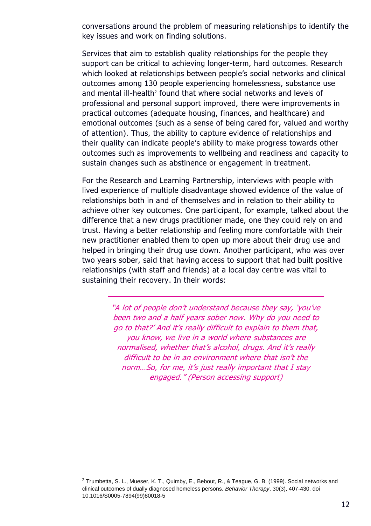conversations around the problem of measuring relationships to identify the key issues and work on finding solutions.

Services that aim to establish quality relationships for the people they support can be critical to achieving longer-term, hard outcomes. Research which looked at relationships between people's social networks and clinical outcomes among 130 people experiencing homelessness, substance use and mental ill-health<sup>2</sup> found that where social networks and levels of professional and personal support improved, there were improvements in practical outcomes (adequate housing, finances, and healthcare) and emotional outcomes (such as a sense of being cared for, valued and worthy of attention). Thus, the ability to capture evidence of relationships and their quality can indicate people's ability to make progress towards other outcomes such as improvements to wellbeing and readiness and capacity to sustain changes such as abstinence or engagement in treatment.

For the Research and Learning Partnership, interviews with people with lived experience of multiple disadvantage showed evidence of the value of relationships both in and of themselves and in relation to their ability to achieve other key outcomes. One participant, for example, talked about the difference that a new drugs practitioner made, one they could rely on and trust. Having a better relationship and feeling more comfortable with their new practitioner enabled them to open up more about their drug use and helped in bringing their drug use down. Another participant, who was over two years sober, said that having access to support that had built positive relationships (with staff and friends) at a local day centre was vital to sustaining their recovery. In their words:

> "A lot of people don't understand because they say, 'you've been two and a half years sober now. Why do you need to go to that?' And it's really difficult to explain to them that, you know, we live in a world where substances are normalised, whether that's alcohol, drugs. And it's really difficult to be in an environment where that isn't the norm…So, for me, it's just really important that I stay engaged." (Person accessing support)

<sup>2</sup> Trumbetta, S. L., Mueser, K. T., Quimby, E., Bebout, R., & Teague, G. B. (1999). Social networks and clinical outcomes of dually diagnosed homeless persons. *Behavior Therapy*, 30(3), 407-430. doi 10.1016/S0005-7894(99)80018-5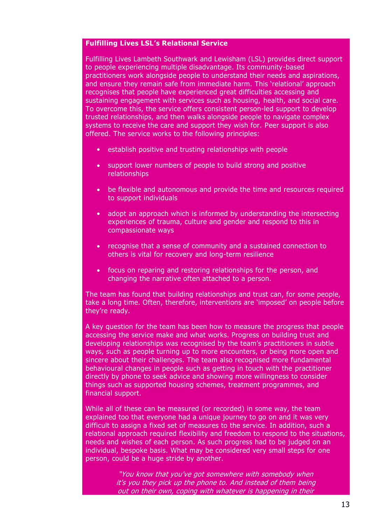#### **Fulfilling Lives LSL's Relational Service**

Fulfilling Lives Lambeth Southwark and Lewisham (LSL) provides direct support to people experiencing multiple disadvantage. Its community-based practitioners work alongside people to understand their needs and aspirations, and ensure they remain safe from immediate harm. This 'relational' approach recognises that people have experienced great difficulties accessing and sustaining engagement with services such as housing, health, and social care. To overcome this, the service offers consistent person-led support to develop trusted relationships, and then walks alongside people to navigate complex systems to receive the care and support they wish for. Peer support is also offered. The service works to the following principles:

- establish positive and trusting relationships with people
- support lower numbers of people to build strong and positive relationships
- be flexible and autonomous and provide the time and resources required to support individuals
- adopt an approach which is informed by understanding the intersecting experiences of trauma, culture and gender and respond to this in compassionate ways
- recognise that a sense of community and a sustained connection to others is vital for recovery and long-term resilience
- focus on reparing and restoring relationships for the person, and changing the narrative often attached to a person.

The team has found that building relationships and trust can, for some people, take a long time. Often, therefore, interventions are 'imposed' on people before they're ready.

A key question for the team has been how to measure the progress that people accessing the service make and what works. Progress on building trust and developing relationships was recognised by the team's practitioners in subtle ways, such as people turning up to more encounters, or being more open and sincere about their challenges. The team also recognised more fundamental behavioural changes in people such as getting in touch with the practitioner directly by phone to seek advice and showing more willingness to consider things such as supported housing schemes, treatment programmes, and financial support.

While all of these can be measured (or recorded) in some way, the team explained too that everyone had a unique journey to go on and it was very difficult to assign a fixed set of measures to the service. In addition, such a relational approach required flexibility and freedom to respond to the situations, needs and wishes of each person. As such progress had to be judged on an individual, bespoke basis. What may be considered very small steps for one person, could be a huge stride by another.

> "You know that you've got somewhere with somebody when it's you they pick up the phone to. And instead of them being out on their own, coping with whatever is happening in their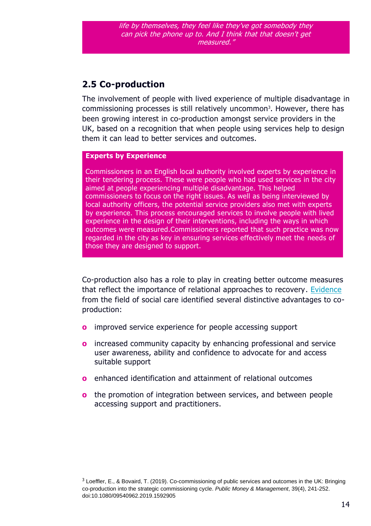# **2.5 Co-production**

The involvement of people with lived experience of multiple disadvantage in commissioning processes is still relatively uncommon<sup>3</sup>. However, there has been growing interest in co-production amongst service providers in the UK, based on a recognition that when people using services help to design them it can lead to better services and outcomes.

## **Experts by Experience**

Commissioners in an English local authority involved experts by experience in their tendering process. These were people who had used services in the city aimed at people experiencing multiple disadvantage. This helped commissioners to focus on the right issues. As well as being interviewed by local authority officers, the potential service providers also met with experts by experience. This process encouraged services to involve people with lived experience in the design of their interventions, including the ways in which outcomes were measured.Commissioners reported that such practice was now regarded in the city as key in ensuring services effectively meet the needs of those they are designed to support.

Co-production also has a role to play in creating better outcome measures that reflect the importance of relational approaches to recovery. [Evidence](https://www.scie.org.uk/publications/guides/guide51/) from the field of social care identified several distinctive advantages to coproduction:

- **o** improved service experience for people accessing support
- **o** increased community capacity by enhancing professional and service user awareness, ability and confidence to advocate for and access suitable support
- **o** enhanced identification and attainment of relational outcomes
- **o** the promotion of integration between services, and between people accessing support and practitioners.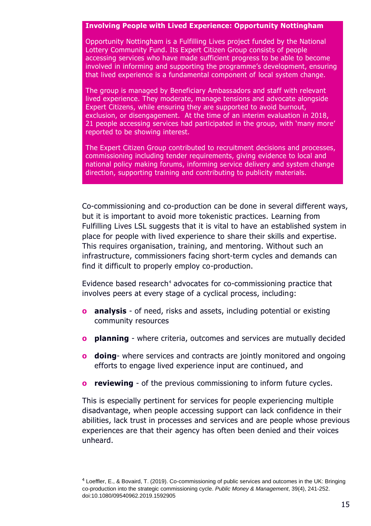#### **Involving People with Lived Experience: Opportunity Nottingham**

Opportunity Nottingham is a Fulfilling Lives project funded by the National Lottery Community Fund. Its Expert Citizen Group consists of people accessing services who have made sufficient progress to be able to become involved in informing and supporting the programme's development, ensuring that lived experience is a fundamental component of local system change.

The group is managed by Beneficiary Ambassadors and staff with relevant lived experience. They moderate, manage tensions and advocate alongside Expert Citizens, while ensuring they are supported to avoid burnout, exclusion, or disengagement. At the time of an interim evaluation in 2018, 21 people accessing services had participated in the group, with 'many more' reported to be showing interest.

The Expert Citizen Group contributed to recruitment decisions and processes, commissioning including tender requirements, giving evidence to local and national policy making forums, informing service delivery and system change direction, supporting training and contributing to publicity materials.

Co-commissioning and co-production can be done in several different ways, but it is important to avoid more tokenistic practices. Learning from Fulfilling Lives LSL suggests that it is vital to have an established system in place for people with lived experience to share their skills and expertise. This requires organisation, training, and mentoring. Without such an infrastructure, commissioners facing short-term cycles and demands can find it difficult to properly employ co-production.

Evidence based research<sup>4</sup> advocates for co-commissioning practice that involves peers at every stage of a cyclical process, including:

- **o analysis** of need, risks and assets, including potential or existing community resources
- **o planning** where criteria, outcomes and services are mutually decided
- **o doing** where services and contracts are jointly monitored and ongoing efforts to engage lived experience input are continued, and
- **o reviewing** of the previous commissioning to inform future cycles.

This is especially pertinent for services for people experiencing multiple disadvantage, when people accessing support can lack confidence in their abilities, lack trust in processes and services and are people whose previous experiences are that their agency has often been denied and their voices unheard.

<sup>4</sup> Loeffler, E., & Bovaird, T. (2019). Co-commissioning of public services and outcomes in the UK: Bringing co-production into the strategic commissioning cycle. *Public Money & Management*, 39(4), 241-252. doi:10.1080/09540962.2019.1592905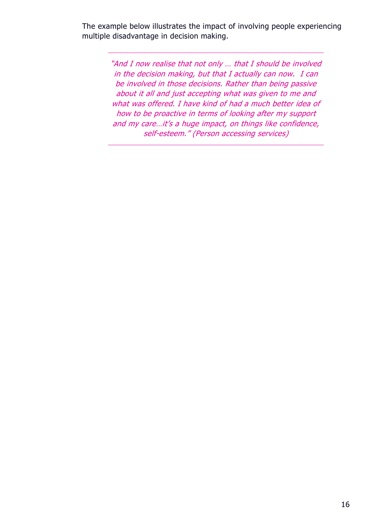The example below illustrates the impact of involving people experiencing multiple disadvantage in decision making.

> "And I now realise that not only … that I should be involved in the decision making, but that I actually can now. I can be involved in those decisions. Rather than being passive about it all and just accepting what was given to me and what was offered. I have kind of had a much better idea of how to be proactive in terms of looking after my support and my care...it's a huge impact, on things like confidence, self-esteem." (Person accessing services)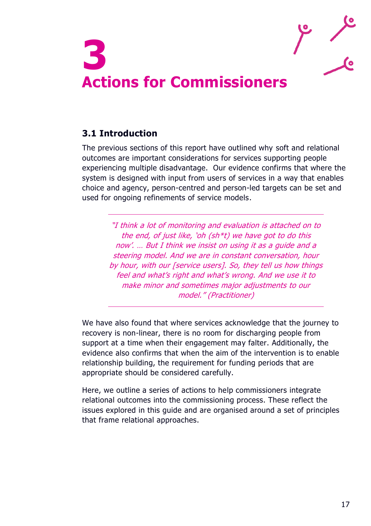

# **3.1 Introduction**

The previous sections of this report have outlined why soft and relational outcomes are important considerations for services supporting people experiencing multiple disadvantage. Our evidence confirms that where the system is designed with input from users of services in a way that enables choice and agency, person-centred and person-led targets can be set and used for ongoing refinements of service models.

> "I think a lot of monitoring and evaluation is attached on to the end, of just like, 'oh (sh\*t) we have got to do this now'. … But I think we insist on using it as a guide and a steering model. And we are in constant conversation, hour by hour, with our [service users]. So, they tell us how things feel and what's right and what's wrong. And we use it to make minor and sometimes major adjustments to our model." (Practitioner)

We have also found that where services acknowledge that the journey to recovery is non-linear, there is no room for discharging people from support at a time when their engagement may falter. Additionally, the evidence also confirms that when the aim of the intervention is to enable relationship building, the requirement for funding periods that are appropriate should be considered carefully.

Here, we outline a series of actions to help commissioners integrate relational outcomes into the commissioning process. These reflect the issues explored in this guide and are organised around a set of principles that frame relational approaches.

 $\frac{1}{2}$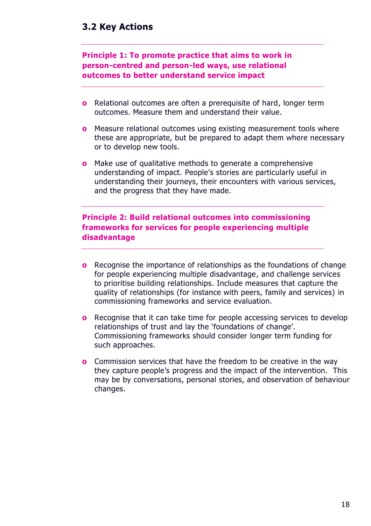# **3.2 Key Actions**

**Principle 1: To promote practice that aims to work in person-centred and person-led ways, use relational outcomes to better understand service impact**

- **o** Relational outcomes are often a prerequisite of hard, longer term outcomes. Measure them and understand their value.
- **o** Measure relational outcomes using existing measurement tools where these are appropriate, but be prepared to adapt them where necessary or to develop new tools.
- **o** Make use of qualitative methods to generate a comprehensive understanding of impact. People's stories are particularly useful in understanding their journeys, their encounters with various services, and the progress that they have made.

## **Principle 2: Build relational outcomes into commissioning frameworks for services for people experiencing multiple disadvantage**

- **o** Recognise the importance of relationships as the foundations of change for people experiencing multiple disadvantage, and challenge services to prioritise building relationships. Include measures that capture the quality of relationships (for instance with peers, family and services) in commissioning frameworks and service evaluation.
- **o** Recognise that it can take time for people accessing services to develop relationships of trust and lay the 'foundations of change'. Commissioning frameworks should consider longer term funding for such approaches.
- **o** Commission services that have the freedom to be creative in the way they capture people's progress and the impact of the intervention. This may be by conversations, personal stories, and observation of behaviour changes.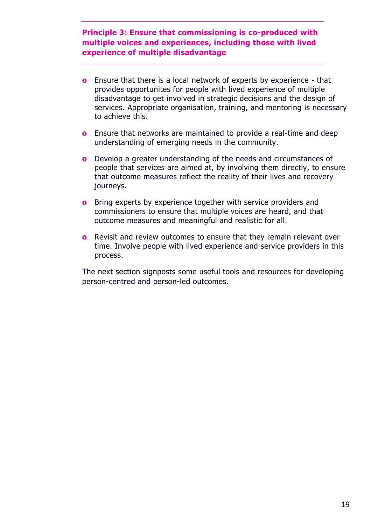## **Principle 3: Ensure that commissioning is co-produced with multiple voices and experiences, including those with lived experience of multiple disadvantage**

- **o** Ensure that there is a local network of experts by experience that provides opportunites for people with lived experience of multiple disadvantage to get involved in strategic decisions and the design of services. Appropriate organisation, training, and mentoring is necessary to achieve this.
- **o** Ensure that networks are maintained to provide a real-time and deep understanding of emerging needs in the community.
- **o** Develop a greater understanding of the needs and circumstances of people that services are aimed at, by involving them directly, to ensure that outcome measures reflect the reality of their lives and recovery journeys.
- **o** Bring experts by experience together with service providers and commissioners to ensure that multiple voices are heard, and that outcome measures and meaningful and realistic for all.
- **o** Revisit and review outcomes to ensure that they remain relevant over time. Involve people with lived experience and service providers in this process.

The next section signposts some useful tools and resources for developing person-centred and person-led outcomes.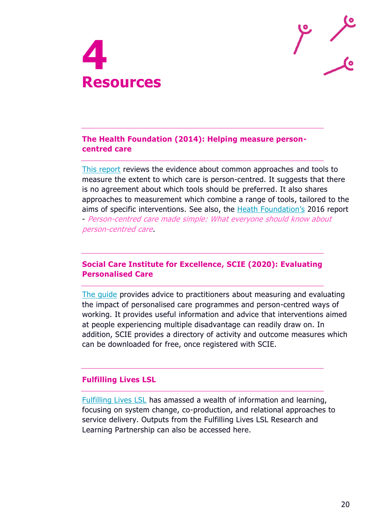



## **The Health Foundation (2014): Helping measure personcentred care**

[This report](https://www.health.org.uk/sites/default/files/HelpingMeasurePersonCentredCare.pdf) reviews the evidence about common approaches and tools to measure the extent to which care is person-centred. It suggests that there is no agreement about which tools should be preferred. It also shares approaches to measurement which combine a range of tools, tailored to the aims of specific interventions. See also, the [Heath Foundation's](https://www.health.org.uk/sites/default/files/PersonCentredCareMadeSimple.pdf) 2016 report - Person-centred care made simple: What everyone should know about person-centred care.

## **Social Care Institute for Excellence, SCIE (2020): Evaluating Personalised Care**

[The guide](https://www.scie.org.uk/person-centred-care/evaluating-personalised-care) provides advice to practitioners about measuring and evaluating the impact of personalised care programmes and person-centred ways of working. It provides useful information and advice that interventions aimed at people experiencing multiple disadvantage can readily draw on. In addition, SCIE provides a directory of activity and outcome measures which can be downloaded for free, once registered with SCIE.

## **Fulfilling Lives LSL**

[Fulfilling Lives LSL](https://fulfillingliveslsl.london/research-and-resources/) has amassed a wealth of information and learning, focusing on system change, co-production, and relational approaches to service delivery. Outputs from the Fulfilling Lives LSL Research and Learning Partnership can also be accessed here.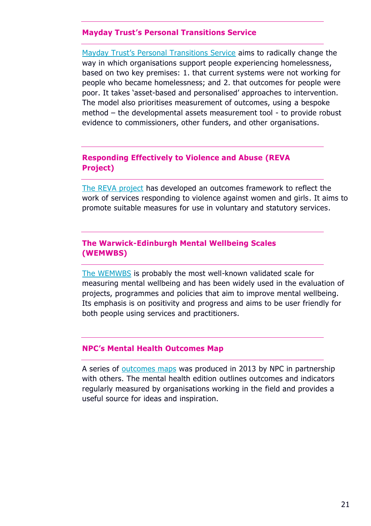## **Mayday Trust's Personal Transitions Service**

Mayday Trust['s Personal Transitions Service](https://maydaytrust.org.uk/wp-content/uploads/2020/06/Homelessness_System_Under_Deconstruction_Report.pdf) aims to radically change the way in which organisations support people experiencing homelessness, based on two key premises: 1. that current systems were not working for people who became homelessness; and 2. that outcomes for people were poor. It takes 'asset-based and personalised' approaches to intervention. The model also prioritises measurement of outcomes, using a bespoke method – the developmental assets measurement tool - to provide robust evidence to commissioners, other funders, and other organisations.

## **Responding Effectively to Violence and Abuse (REVA Project)**

[The REVA project](file:///C:/Users/MargeryInfield/AppData/Local/Microsoft/Windows/INetCache/Content.Outlook/Z17NQ4PM/REVA-Brief-5-Guidance-for-service-providers-and-commissioners-FINAL-071015.pdf%20(dmss.co.uk)) has developed an outcomes framework to reflect the work of services responding to violence against women and girls. It aims to promote suitable measures for use in voluntary and statutory services.

## **The Warwick-Edinburgh Mental Wellbeing Scales (WEMWBS)**

[The WEMWBS](https://warwick.ac.uk/fac/sci/med/research/platform/wemwbs/) is probably the most well-known validated scale for measuring mental wellbeing and has been widely used in the evaluation of projects, programmes and policies that aim to improve mental wellbeing. Its emphasis is on positivity and progress and aims to be user friendly for both people using services and practitioners.

## **NPC's Mental Health Outcomes Map**

A series of [outcomes maps](https://www.thinknpc.org/resource-hub/outcomes-map-mental-health/) was produced in 2013 by NPC in partnership with others. The mental health edition outlines outcomes and indicators regularly measured by organisations working in the field and provides a useful source for ideas and inspiration.